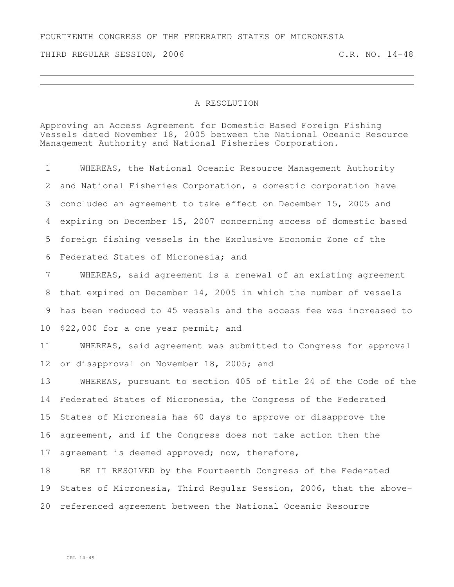## FOURTEENTH CONGRESS OF THE FEDERATED STATES OF MICRONESIA

THIRD REGULAR SESSION, 2006 C.R. NO. 14-48

## A RESOLUTION

Approving an Access Agreement for Domestic Based Foreign Fishing Vessels dated November 18, 2005 between the National Oceanic Resource Management Authority and National Fisheries Corporation.

 WHEREAS, the National Oceanic Resource Management Authority and National Fisheries Corporation, a domestic corporation have concluded an agreement to take effect on December 15, 2005 and expiring on December 15, 2007 concerning access of domestic based foreign fishing vessels in the Exclusive Economic Zone of the Federated States of Micronesia; and

 WHEREAS, said agreement is a renewal of an existing agreement that expired on December 14, 2005 in which the number of vessels has been reduced to 45 vessels and the access fee was increased to \$22,000 for a one year permit; and

 WHEREAS, said agreement was submitted to Congress for approval 12 or disapproval on November 18, 2005; and

 WHEREAS, pursuant to section 405 of title 24 of the Code of the Federated States of Micronesia, the Congress of the Federated States of Micronesia has 60 days to approve or disapprove the agreement, and if the Congress does not take action then the agreement is deemed approved; now, therefore,

 BE IT RESOLVED by the Fourteenth Congress of the Federated States of Micronesia, Third Regular Session, 2006, that the above-referenced agreement between the National Oceanic Resource